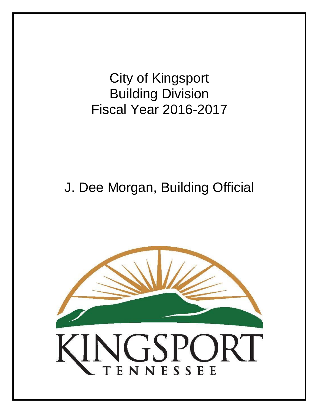City of Kingsport Building Division Fiscal Year 2016-2017

# J. Dee Morgan, Building Official

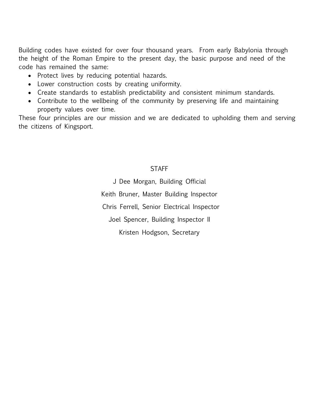Building codes have existed for over four thousand years. From early Babylonia through the height of the Roman Empire to the present day, the basic purpose and need of the code has remained the same:

- Protect lives by reducing potential hazards.
- Lower construction costs by creating uniformity.
- Create standards to establish predictability and consistent minimum standards.
- Contribute to the wellbeing of the community by preserving life and maintaining property values over time.

These four principles are our mission and we are dedicated to upholding them and serving the citizens of Kingsport.

## **STAFF**

J Dee Morgan, Building Official Keith Bruner, Master Building Inspector Chris Ferrell, Senior Electrical Inspector Joel Spencer, Building Inspector II Kristen Hodgson, Secretary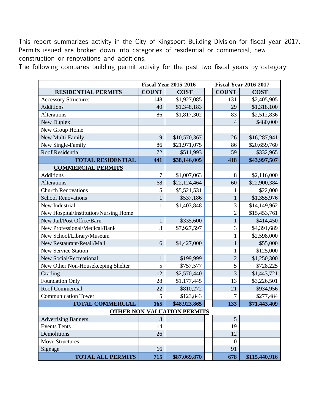This report summarizes activity in the City of Kingsport Building Division for fiscal year 2017. Permits issued are broken down into categories of residential or commercial, new construction or renovations and additions.

The following compares building permit activity for the past two fiscal years by category:

|                                       | <b>Fiscal Year 2015-2016</b> |              |  | <b>Fiscal Year 2016-2017</b> |               |
|---------------------------------------|------------------------------|--------------|--|------------------------------|---------------|
| <b>RESIDENTIAL PERMITS</b>            | <b>COUNT</b>                 | <b>COST</b>  |  | <b>COUNT</b>                 | <b>COST</b>   |
| <b>Accessory Structures</b>           | 148                          | \$1,927,085  |  | 131                          | \$2,405,905   |
| <b>Additions</b>                      | 40                           | \$1,348,183  |  | 29                           | \$1,318,100   |
| Alterations                           | 86                           | \$1,817,302  |  | 83                           | \$2,512,836   |
| New Duplex                            |                              |              |  | $\overline{4}$               | \$480,000     |
| New Group Home                        |                              |              |  |                              |               |
| New Multi-Family                      | 9                            | \$10,570,367 |  | 26                           | \$16,287,941  |
| New Single-Family                     | 86                           | \$21,971,075 |  | 86                           | \$20,659,760  |
| <b>Roof Residential</b>               | 72                           | \$511,993    |  | 59                           | \$332,965     |
| <b>TOTAL RESIDENTIAL</b>              | 441                          | \$38,146,005 |  | 418                          | \$43,997,507  |
| <b>COMMERCIAL PERMITS</b>             |                              |              |  |                              |               |
| <b>Additions</b>                      | $\overline{7}$               | \$1,007,063  |  | 8                            | \$2,116,000   |
| <b>Alterations</b>                    | 68                           | \$22,124,464 |  | 60                           | \$22,900,384  |
| <b>Church Renovations</b>             | 5                            | \$5,521,531  |  | $\mathbf{1}$                 | \$22,000      |
| <b>School Renovations</b>             | $\mathbf{1}$                 | \$537,186    |  | $\mathbf{1}$                 | \$1,355,976   |
| New Industrial                        | 1                            | \$1,403,848  |  | 3                            | \$14,149,962  |
| New Hospital/Institution/Nursing Home |                              |              |  | $\overline{2}$               | \$15,453,761  |
| New Jail/Post Office/Barn             | 1                            | \$335,600    |  | $\mathbf{1}$                 | \$414,450     |
| New Professional/Medical/Bank         | 3                            | \$7,927,597  |  | 3                            | \$4,391,689   |
| New School/Library/Museum             |                              |              |  | $\mathbf{1}$                 | \$2,598,000   |
| New Restaurant/Retail/Mall            | 6                            | \$4,427,000  |  | $\mathbf{1}$                 | \$55,000      |
| <b>New Service Station</b>            |                              |              |  | $\mathbf{1}$                 | \$125,000     |
| New Social/Recreational               | 1                            | \$199,999    |  | $\overline{2}$               | \$1,250,300   |
| New Other Non-Housekeeping Shelter    | 5                            | \$757,577    |  | 5                            | \$728,225     |
| Grading                               | 12                           | \$2,570,440  |  | $\overline{3}$               | \$1,443,721   |
| <b>Foundation Only</b>                | 28                           | \$1,177,445  |  | 13                           | \$3,226,501   |
| Roof Commercial                       | 22                           | \$810,272    |  | 21                           | \$934,956     |
| <b>Communication Tower</b>            | 5                            | \$123,843    |  | 7                            | \$277,484     |
| <b>TOTAL COMMERCIAL</b>               | 165                          | \$48,923,865 |  | 133                          | \$71,443,409  |
| <b>OTHER NON-VALUATION PERMITS</b>    |                              |              |  |                              |               |
| <b>Advertising Banners</b>            | 3                            |              |  | 5                            |               |
| <b>Events Tents</b>                   | 14                           |              |  | 19                           |               |
| Demolitions                           | 26                           |              |  | 12                           |               |
| <b>Move Structures</b>                |                              |              |  | $\boldsymbol{0}$             |               |
| Signage                               | 66                           |              |  | 91                           |               |
| <b>TOTAL ALL PERMITS</b>              | 715                          | \$87,069,870 |  | 678                          | \$115,440,916 |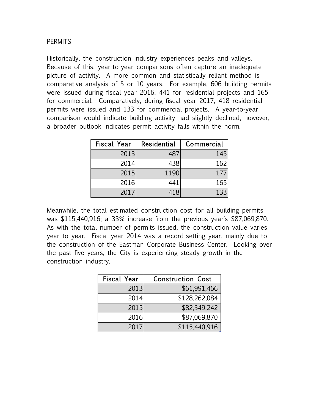#### **PERMITS**

Historically, the construction industry experiences peaks and valleys. Because of this, year-to-year comparisons often capture an inadequate picture of activity. A more common and statistically reliant method is comparative analysis of 5 or 10 years. For example, 606 building permits were issued during fiscal year 2016: 441 for residential projects and 165 for commercial. Comparatively, during fiscal year 2017, 418 residential permits were issued and 133 for commercial projects. A year-to-year comparison would indicate building activity had slightly declined, however, a broader outlook indicates permit activity falls within the norm.

| Fiscal Year | Residential | Commercial |
|-------------|-------------|------------|
| 2013        | 487         | 145        |
| 2014        | 438         | 162        |
| 2015        | 1190        | 177        |
| 2016        | 441         | 165        |
| 2017        | 418         | 133        |

Meanwhile, the total estimated construction cost for all building permits was \$115,440,916; a 33% increase from the previous year's \$87,069,870. As with the total number of permits issued, the construction value varies year to year. Fiscal year 2014 was a record-setting year, mainly due to the construction of the Eastman Corporate Business Center. Looking over the past five years, the City is experiencing steady growth in the construction industry.

| <b>Fiscal Year</b> | <b>Construction Cost</b> |  |
|--------------------|--------------------------|--|
| 2013               | \$61,991,466             |  |
| 2014               | \$128,262,084            |  |
| 2015               | \$82,349,242             |  |
| 2016               | \$87,069,870             |  |
| 2017               | \$115,440,916            |  |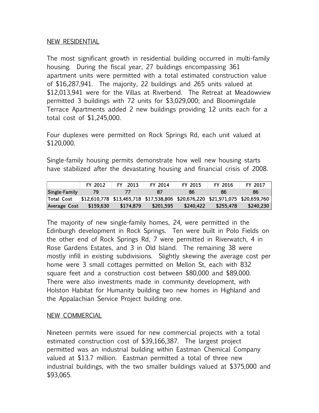#### NEW RESIDENTIAL

The most significant growth in residential building occurred in multi-family housing. During the fiscal year, 27 buildings encompassing 361 apartment units were permitted with a total estimated construction value of \$16,287,941. The majority, 22 buildings and 265 units valued at \$12,013,941 were for the Villas at Riverbend. The Retreat at Meadowview permitted 3 buildings with 72 units for \$3,029,000; and Bloomingdale Terrace Apartments added 2 new buildings providing 12 units each for a total cost of \$1,245,000.

Four duplexes were permitted on Rock Springs Rd, each unit valued at \$120,000.

Single-family housing permits demonstrate how well new housing starts

| have stabilized after the devastating housing and financial crisis of 2008. |           |           |           |                                                                               |           |           |
|-----------------------------------------------------------------------------|-----------|-----------|-----------|-------------------------------------------------------------------------------|-----------|-----------|
|                                                                             | FY 2012   | FY 2013   | FY 2014   | FY 2015                                                                       | FY 2016   | FY 2017   |
| Single-Family                                                               | 79        | 77        | 87        | 86                                                                            | 86        | 86        |
| Total Cost                                                                  |           |           |           | \$12,610,778 \$13,465,718 \$17,538,806 \$20,676,220 \$21,971,075 \$20,659,760 |           |           |
| Average Cost                                                                | \$159,630 | \$174,879 | \$201,595 | \$240,422                                                                     | \$255,478 | \$240,230 |

The majority of new single-family homes, 24, were permitted in the Edinburgh development in Rock Springs. Ten were built in Polo Fields on the other end of Rock Springs Rd, 7 were permitted in Riverwatch, 4 in Rose Gardens Estates, and 3 in Old Island. The remaining 38 were mostly infill in existing subdivisions. Slightly skewing the average cost per home were 3 small cottages permitted on Mellon St, each with 832 square feet and a construction cost between \$80,000 and \$89,000. There were also investments made in community development, with Holston Habitat for Humanity building two new homes in Highland and the Appalachian Service Project building one.

## NEW COMMERCIAL

Nineteen permits were issued for new commercial projects with a total estimated construction cost of \$39,166,387. The largest project permitted was an industrial building within Eastman Chemical Company valued at \$13.7 million. Eastman permitted a total of three new industrial buildings, with the two smaller buildings valued at \$375,000 and \$93,065.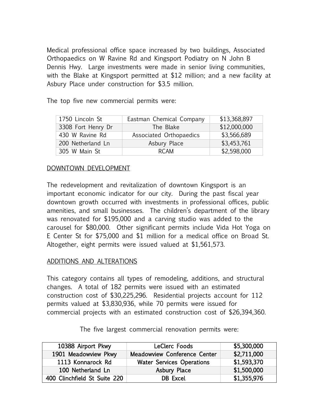Medical professional office space increased by two buildings, Associated Orthopaedics on W Ravine Rd and Kingsport Podiatry on N John B Dennis Hwy. Large investments were made in senior living communities, with the Blake at Kingsport permitted at \$12 million; and a new facility at Asbury Place under construction for \$3.5 million.

The top five new commercial permits were:

| 1750 Lincoln St    | Eastman Chemical Company | \$13,368,897 |
|--------------------|--------------------------|--------------|
| 3308 Fort Henry Dr | The Blake                | \$12,000,000 |
| 430 W Ravine Rd    | Associated Orthopaedics  | \$3,566,689  |
| 200 Netherland Ln  | Asbury Place             | \$3,453,761  |
| 305 W Main St      | <b>RCAM</b>              | \$2,598,000  |

#### DOWNTOWN DEVELOPMENT

The redevelopment and revitalization of downtown Kingsport is an important economic indicator for our city. During the past fiscal year downtown growth occurred with investments in professional offices, public amenities, and small businesses. The children's department of the library was renovated for \$195,000 and a carving studio was added to the carousel for \$80,000. Other significant permits include Vida Hot Yoga on E Center St for \$75,000 and \$1 million for a medical office on Broad St. Altogether, eight permits were issued valued at \$1,561,573.

#### ADDITIONS AND ALTERATIONS

This category contains all types of remodeling, additions, and structural changes. A total of 182 permits were issued with an estimated construction cost of \$30,225,296. Residential projects account for 112 permits valued at \$3,830,936, while 70 permits were issued for commercial projects with an estimated construction cost of \$26,394,360.

10388 Airport Pkwy LeClerc Foods \$5,300,000 1901 Meadowview Pkwy | Meadowview Conference Center | \$2,711,000 1113 Konnarock Rd | Water Services Operations | \$1,593,370 100 Netherland Ln de Asbury Place \$1,500,000 400 Clinchfield St Suite 220 DB Excel \$1,355,976

The five largest commercial renovation permits were: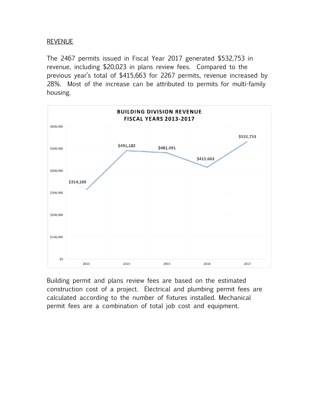## REVENUE

The 2467 permits issued in Fiscal Year 2017 generated \$532,753 in revenue, including \$20,023 in plans review fees. Compared to the previous year's total of \$415,663 for 2267 permits, revenue increased by 28%. Most of the increase can be attributed to permits for multi-family housing.



Building permit and plans review fees are based on the estimated construction cost of a project. Electrical and plumbing permit fees are calculated according to the number of fixtures installed. Mechanical permit fees are a combination of total job cost and equipment.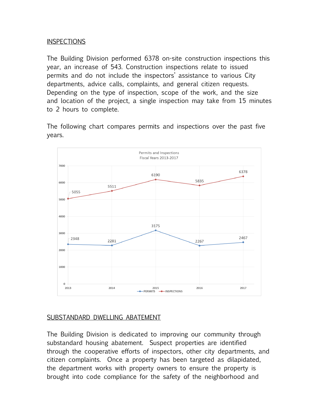## **INSPECTIONS**

The Building Division performed 6378 on-site construction inspections this year, an increase of 543. Construction inspections relate to issued permits and do not include the inspectors' assistance to various City departments, advice calls, complaints, and general citizen requests. Depending on the type of inspection, scope of the work, and the size and location of the project, a single inspection may take from 15 minutes to 2 hours to complete.

The following chart compares permits and inspections over the past five years.



## SUBSTANDARD DWELLING ABATEMENT

The Building Division is dedicated to improving our community through substandard housing abatement. Suspect properties are identified through the cooperative efforts of inspectors, other city departments, and citizen complaints. Once a property has been targeted as dilapidated, the department works with property owners to ensure the property is brought into code compliance for the safety of the neighborhood and